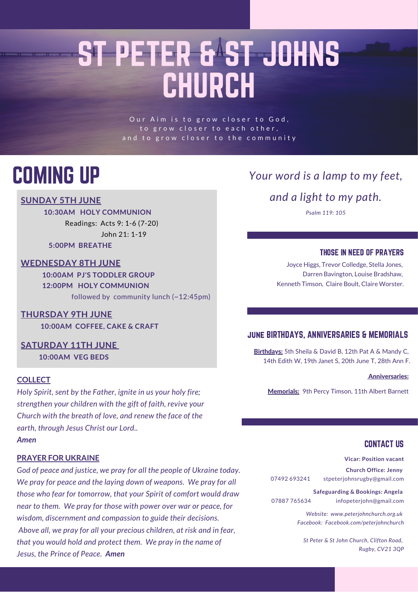# ST PETER & ST JOHNS CHURCH

Our Aim is to grow closer to God, to grow closer to each other, and to grow closer to the community

## COMING UP

#### **SUNDAY 5TH JUNE**

**10:30AM HOLY COMMUNION** Readings: Acts 9: 1-6 (7-20) John 21: 1-19 **5:00PM BREATHE**

### **WEDNESDAY 8TH JUNE**

**10:00AM PJ'S TODDLER GROUP 12:00PM HOLY COMMUNION** followed by community lunch (~12:45pm)

#### **THURSDAY 9TH JUNE 10:00AM COFFEE, CAKE & CRAFT**

**SATURDAY 11TH JUNE 10:00AM VEG BEDS**

#### **COLLECT**

*Holy Spirit, sent by the Father, ignite in us your holy fire; strengthen your children with the gift of faith, revive your Church with the breath of love, and renew the face of the earth, through Jesus Christ our Lord..*

*Amen*

#### **PRAYER FOR UKRAINE**

*God of peace and justice, we pray for all the people of Ukraine today. We pray for peace and the laying down of weapons. We pray for all those who fear for tomorrow, that your Spirit of comfort would draw near to them. We pray for those with power over war or peace, for wisdom, discernment and compassion to guide their decisions. Above all, we pray for all your precious children, at risk and in fear, that you would hold and protect them. We pray in the name of Jesus, the Prince of Peace. Amen*

### *Your word is a lamp to my feet,*

*and a light to my path.*

*Psalm 119: 105*

#### THOSE IN NEED OF PRAYERS

Joyce Higgs, Trevor Colledge, Stella Jones, Darren Bavington, Louise Bradshaw, Kenneth Timson, Claire Boult, Claire Worster.

#### june BIRTHDAYS, ANNIVERSARIES & MEMORIALS

Birthdays: 5th Sheila & David B, 12th Pat A & Mandy C, 14th Edith W, 19th Janet S, 20th June T, 28th Ann F.

#### Anniversaries:

Memorials: 9th Percy Timson, 11th Albert Barnett

#### CONTACT US

**Vicar: Position vacant**

**Church Office: Jenny** 07492 693241 stpeterjohnsrugby@gmail.com

**Safeguarding & Bookings: Angela** 07887 765634 infopeterjohn@gmail.com

> *Website: www.peterjohnchurch.org.uk Facebook: Facebook.com/peterjohnchurch*

*St Peter & St John Church, Clifton Road, Rugby, CV21 3QP*